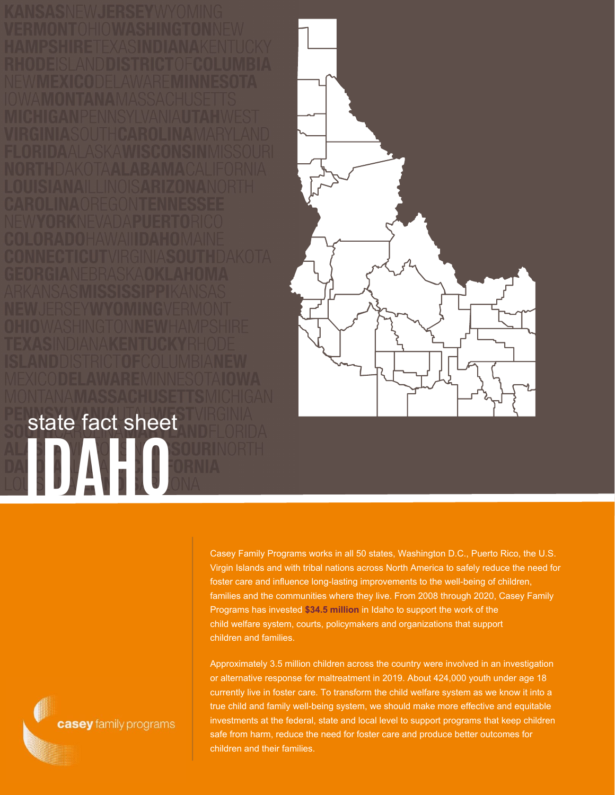**IDAHO** state fact sheet



Casey Family Programs works in all 50 states, Washington D.C., Puerto Rico, the U.S. Virgin Islands and with tribal nations across North America to safely reduce the need for foster care and influence long-lasting improvements to the well-being of children, families and the communities where they live. From 2008 through 2020, Casey Family Programs has invested **\$34.5 million** in Idaho to support the work of the child welfare system, courts, policymakers and organizations that support children and families.

Approximately 3.5 million children across the country were involved in an investigation or alternative response for maltreatment in 2019. About 424,000 youth under age 18 currently live in foster care. To transform the child welfare system as we know it into a true child and family well-being system, we should make more effective and equitable investments at the federal, state and local level to support programs that keep children safe from harm, reduce the need for foster care and produce better outcomes for children and their families.

casey family programs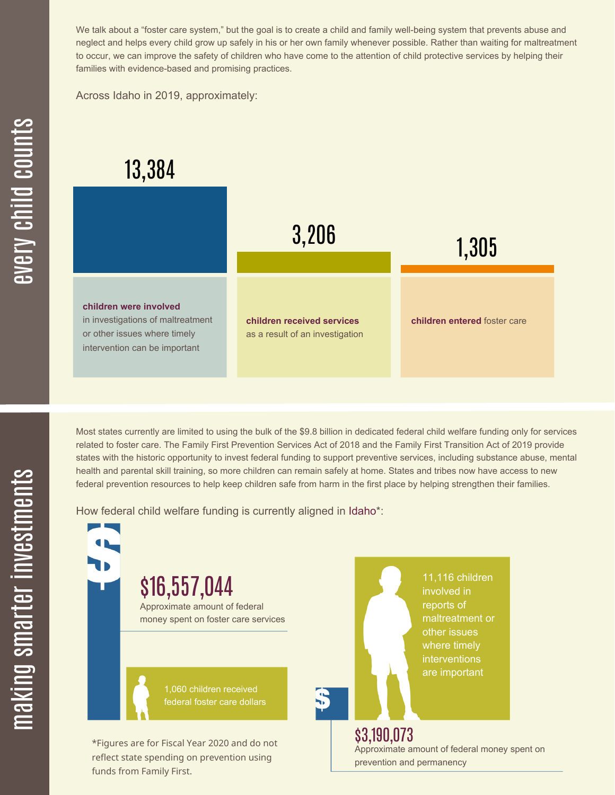We talk about a "foster care system," but the goal is to create a child and family well-being system that prevents abuse and neglect and helps every child grow up safely in his or her own family whenever possible. Rather than waiting for maltreatment to occur, we can improve the safety of children who have come to the attention of child protective services by helping their families with evidence-based and promising practices.

Across Idaho in 2019, approximately:

## 13,384



Most states currently are limited to using the bulk of the \$9.8 billion in dedicated federal child welfare funding only for services related to foster care. The Family First Prevention Services Act of 2018 and the Family First Transition Act of 2019 provide states with the historic opportunity to invest federal funding to support preventive services, including substance abuse, mental health and parental skill training, so more children can remain safely at home. States and tribes now have access to new federal prevention resources to help keep children safe from harm in the first place by helping strengthen their families.

How federal child welfare funding is currently aligned in Idaho\*:

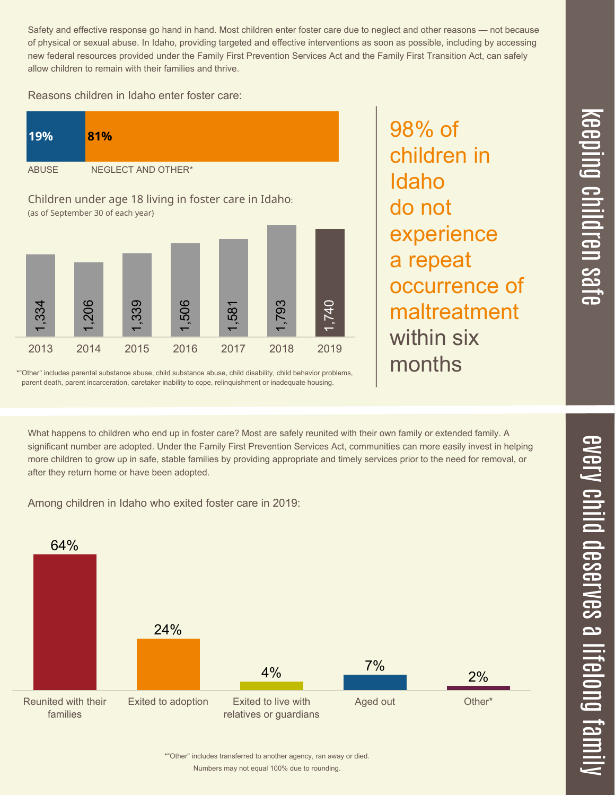$\overline{\phantom{1}}$  $\overline{\mathbf \Theta}$  $\overline{\mathbf{C}}$ <u>pin</u>  $\overline{\mathbf{C}}$  $\overline{\mathbf{C}}$  $\equiv$  $\overline{\mathbf{c}}$  $\overline{\phantom{0}}$  $\boldsymbol{\mathcal{O}}$ a  $\overrightarrow{\mathbf{e}}$ 

Safety and effective response go hand in hand. Most children enter foster care due to neglect and other reasons — not because of physical or sexual abuse. In Idaho, providing targeted and effective interventions as soon as possible, including by accessing new federal resources provided under the Family First Prevention Services Act and the Family First Transition Act, can safely allow children to remain with their families and thrive.

98% of

Idaho

do not

children in

experience

occurrence of

maltreatment

a repeat

within six

months

Reasons children in Idaho enter foster care:



\*"Other" includes parental substance abuse, child substance abuse, child disability, child behavior problems, parent death, parent incarceration, caretaker inability to cope, relinquishment or inadequate housing.

What happens to children who end up in foster care? Most are safely reunited with their own family or extended family. A significant number are adopted. Under the Family First Prevention Services Act, communities can more easily invest in helping more children to grow up in safe, stable families by providing appropriate and timely services prior to the need for removal, or after they return home or have been adopted.

Among children in Idaho who exited foster care in 2019: